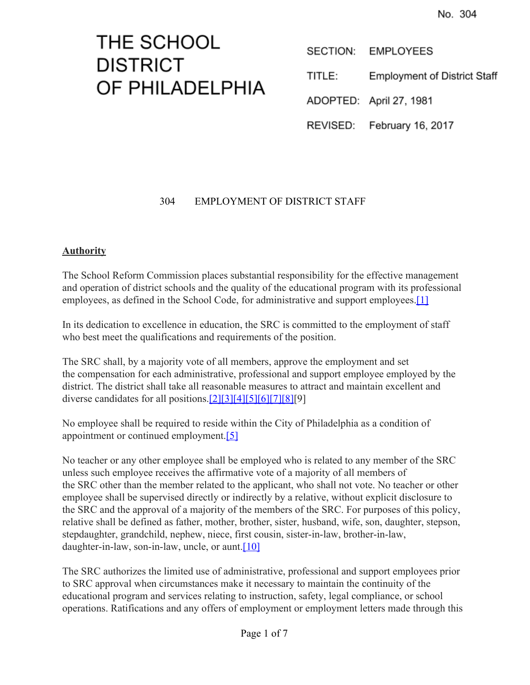# THE SCHOOL **DISTRICT** OF PHILADELPHIA

SECTION: **EMPLOYEES** 

TITLE: **Employment of District Staff** 

ADOPTED: April 27, 1981

REVISED: February 16, 2017

# 304 EMPLOYMENT OF DISTRICT STAFF

# **Authority**

The School Reform Commission places substantial responsibility for the effective management and operation of district schools and the quality of the educational program with its professional employees, as defined in the School Code, for administrative and support employees.<sup>[\[1\]](http://www.legis.state.pa.us/cfdocs/legis/LI/uconsCheck.cfm?txtType=HTM&yr=1949&sessInd=0&smthLwInd=0&act=14&chpt=11&sctn=1&subsctn=0)</sup>

In its dedication to excellence in education, the SRC is committed to the employment of staff who best meet the qualifications and requirements of the position.

The SRC shall, by a majority vote of all members, approve the employment and set the compensation for each administrative, professional and support employee employed by the district. The district shall take all reasonable measures to attract and maintain excellent and diverse candidates for all positions.[\[2\]](http://www.legis.state.pa.us/cfdocs/legis/LI/uconsCheck.cfm?txtType=HTM&yr=1949&sessInd=0&smthLwInd=0&act=14&chpt=4&sctn=6&subsctn=0)[\[3\]](http://www.legis.state.pa.us/cfdocs/legis/LI/uconsCheck.cfm?txtType=HTM&yr=1949&sessInd=0&smthLwInd=0&act=14&chpt=6&sctn=96&subsctn=0)[\[4\]](http://www.legis.state.pa.us/cfdocs/legis/LI/uconsCheck.cfm?txtType=HTM&yr=1949&sessInd=0&smthLwInd=0&act=14&chpt=10&sctn=89&subsctn=0)[\[5\]](http://www.legis.state.pa.us/cfdocs/legis/LI/uconsCheck.cfm?txtType=HTM&yr=1949&sessInd=0&smthLwInd=0&act=14&chpt=11&sctn=6&subsctn=0)[\[6\]](http://www.legis.state.pa.us/cfdocs/legis/LI/uconsCheck.cfm?txtType=HTM&yr=1949&sessInd=0&smthLwInd=0&act=14&chpt=11&sctn=7&subsctn=0)[\[7\]](http://www.legis.state.pa.us/cfdocs/legis/LI/uconsCheck.cfm?txtType=HTM&yr=1949&sessInd=0&smthLwInd=0&act=014&chpt=11)[\[8\]\[](http://www.pacode.com/secure/data/022/chapter4/s4.4.html)9]

No employee shall be required to reside within the City of Philadelphia as a condition of appointment or continued employment[.\[5\]](http://www.legis.state.pa.us/cfdocs/legis/LI/uconsCheck.cfm?txtType=HTM&yr=1949&sessInd=0&smthLwInd=0&act=14&chpt=11&sctn=6&subsctn=0)

No teacher or any other employee shall be employed who is related to any member of the SRC unless such employee receives the affirmative vote of a majority of all members of the SRC other than the member related to the applicant, who shall not vote. No teacher or other employee shall be supervised directly or indirectly by a relative, without explicit disclosure to the SRC and the approval of a majority of the members of the SRC. For purposes of this policy, relative shall be defined as father, mother, brother, sister, husband, wife, son, daughter, stepson, stepdaughter, grandchild, nephew, niece, first cousin, sister-in-law, brother-in-law, daughter-in-law, son-in-law, uncle, or aunt. $[10]$ 

The SRC authorizes the limited use of administrative, professional and support employees prior to SRC approval when circumstances make it necessary to maintain the continuity of the educational program and services relating to instruction, safety, legal compliance, or school operations. Ratifications and any offers of employment or employment letters made through this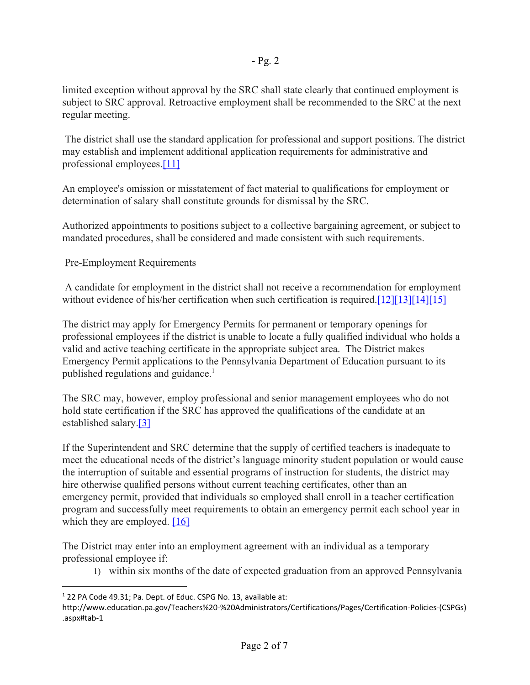limited exception without approval by the SRC shall state clearly that continued employment is subject to SRC approval. Retroactive employment shall be recommended to the SRC at the next regular meeting.

 The district shall use the standard application for professional and support positions. The district may establish and implement additional application requirements for administrative and professional employees.[\[11\]](http://www.legis.state.pa.us/cfdocs/legis/LI/uconsCheck.cfm?txtType=HTM&yr=1949&sessInd=0&smthLwInd=0&act=14&chpt=12&sctn=4&subsctn=1)

An employee's omission or misstatement of fact material to qualifications for employment or determination of salary shall constitute grounds for dismissal by the SRC.

Authorized appointments to positions subject to a collective bargaining agreement, or subject to mandated procedures, shall be considered and made consistent with such requirements.

# Pre-Employment Requirements

 A candidate for employment in the district shall not receive a recommendation for employment without evidence of his/her certification when such certification is required.[\[12\]](http://www.legis.state.pa.us/cfdocs/legis/LI/uconsCheck.cfm?txtType=HTM&yr=1949&sessInd=0&smthLwInd=0&act=14&chpt=11&sctn=9&subsctn=0)[\[13\]](http://www.legis.state.pa.us/cfdocs/legis/LI/uconsCheck.cfm?txtType=HTM&yr=1949&sessInd=0&smthLwInd=0&act=14&chpt=12&sctn=1&subsctn=0)[\[14\]](http://www.legis.state.pa.us/cfdocs/legis/LI/uconsCheck.cfm?txtType=HTM&yr=1973&sessInd=0&smthLwInd=0&act=141&chpt=0&sctn=2&subsctn=0)[\[15\]](http://www.pacode.com/secure/data/022/chapter49/chap49toc.html)

The district may apply for Emergency Permits for permanent or temporary openings for professional employees if the district is unable to locate a fully qualified individual who holds a valid and active teaching certificate in the appropriate subject area. The District makes Emergency Permit applications to the Pennsylvania Department of Education pursuant to its published regulations and guidance. $<sup>1</sup>$ </sup>

The SRC may, however, employ professional and senior management employees who do not hold state certification if the SRC has approved the qualifications of the candidate at an established salary.[\[3\]](http://www.legis.state.pa.us/cfdocs/legis/LI/uconsCheck.cfm?txtType=HTM&yr=1949&sessInd=0&smthLwInd=0&act=14&chpt=6&sctn=96&subsctn=0)

If the Superintendent and SRC determine that the supply of certified teachers is inadequate to meet the educational needs of the district's language minority student population or would cause the interruption of suitable and essential programs of instruction for students, the district may hire otherwise qualified persons without current teaching certificates, other than an emergency permit, provided that individuals so employed shall enroll in a teacher certification program and successfully meet requirements to obtain an emergency permit each school year in which they are employed.  $[16]$ 

The District may enter into an employment agreement with an individual as a temporary professional employee if:

1) within six months of the date of expected graduation from an approved Pennsylvania

<sup>&</sup>lt;sup>1</sup> 22 PA Code 49.31; Pa. Dept. of Educ. CSPG No. 13, available at:

http://www.education.pa.gov/Teachers%20-%20Administrators/Certifications/Pages/Certification-Policies-(CSPGs) .aspx#tab-1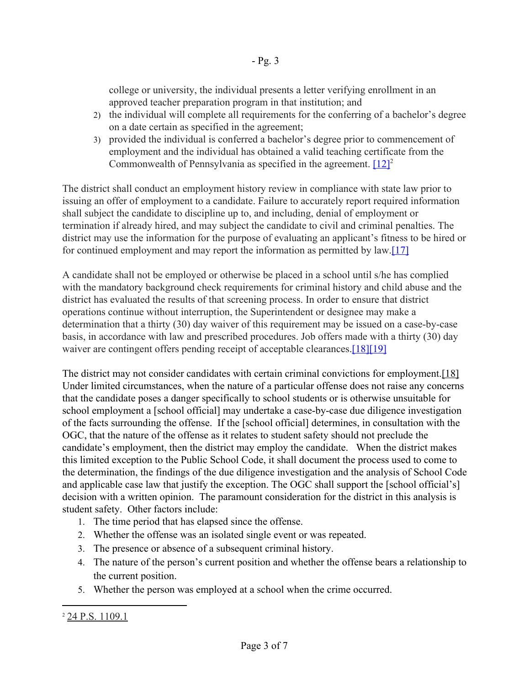college or university, the individual presents a letter verifying enrollment in an approved teacher preparation program in that institution; and

- 2) the individual will complete all requirements for the conferring of a bachelor's degree on a date certain as specified in the agreement;
- 3) provided the individual is conferred a bachelor's degree prior to commencement of employment and the individual has obtained a valid teaching certificate from the Commonwealth of Pennsylvania as specified in the agreement.  $[12]$ <sup>2</sup>

The district shall conduct an employment history review in compliance with state law prior to issuing an offer of employment to a candidate. Failure to accurately report required information shall subject the candidate to discipline up to, and including, denial of employment or termination if already hired, and may subject the candidate to civil and criminal penalties. The district may use the information for the purpose of evaluating an applicant's fitness to be hired or for continued employment and may report the information as permitted by law[.\[17\]](http://www.legis.state.pa.us/cfdocs/legis/LI/uconsCheck.cfm?txtType=HTM&yr=1949&sessInd=0&smthLwInd=0&act=14&chpt=1&sctn=11&subsctn=1)

A candidate shall not be employed or otherwise be placed in a school until s/he has complied with the mandatory background check requirements for criminal history and child abuse and the district has evaluated the results of that screening process. In order to ensure that district operations continue without interruption, the Superintendent or designee may make a determination that a thirty (30) day waiver of this requirement may be issued on a case-by-case basis, in accordance with law and prescribed procedures. Job offers made with a thirty (30) day waiver are contingent offers pending receipt of acceptable clearances.<sup>[18][\[19\]](http://www.legis.state.pa.us/cfdocs/legis/LI/consCheck.cfm?txtType=HTM&ttl=23&div=0&chpt=63&sctn=44&subsctn=0)</sup>

The district may not consider candidates with certain criminal convictions for employment. [18] Under limited circumstances, when the nature of a particular offense does not raise any concerns that the candidate poses a danger specifically to school students or is otherwise unsuitable for school employment a [school official] may undertake a case-by-case due diligence investigation of the facts surrounding the offense. If the [school official] determines, in consultation with the OGC, that the nature of the offense as it relates to student safety should not preclude the candidate's employment, then the district may employ the candidate. When the district makes this limited exception to the Public School Code, it shall document the process used to come to the determination, the findings of the due diligence investigation and the analysis of School Code and applicable case law that justify the exception. The OGC shall support the [school official's] decision with a written opinion. The paramount consideration for the district in this analysis is student safety. Other factors include:

- 1. The time period that has elapsed since the offense.
- 2. Whether the offense was an isolated single event or was repeated.
- 3. The presence or absence of a subsequent criminal history.
- 4. The nature of the person's current position and whether the offense bears a relationship to the current position.
- 5. Whether the person was employed at a school when the crime occurred.

<sup>2</sup> [24 P.S. 1109.1](http://www.legis.state.pa.us/cfdocs/legis/LI/uconsCheck.cfm?txtType=HTM&yr=1949&sessInd=0&smthLwInd=0&act=14&chpt=11&sctn=9&subsctn=1)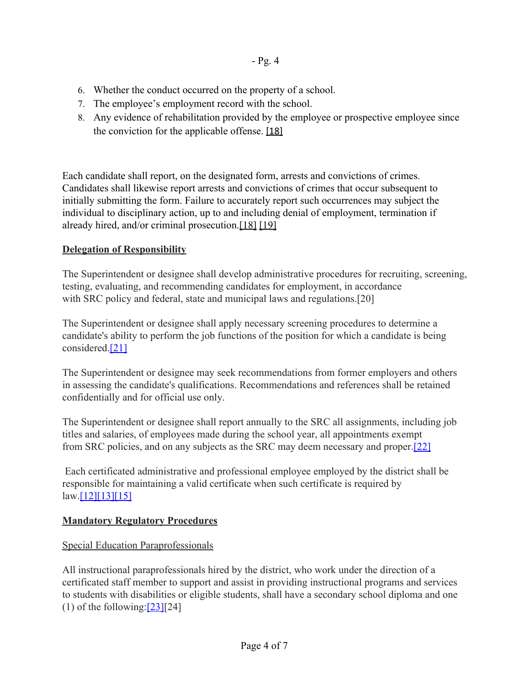- 6. Whether the conduct occurred on the property of a school.
- 7. The employee's employment record with the school.
- 8. Any evidence of rehabilitation provided by the employee or prospective employee since the conviction for the applicable offense. [\[18\]](http://www.legis.state.pa.us/cfdocs/legis/LI/uconsCheck.cfm?txtType=HTM&yr=1949&sessInd=0&smthLwInd=0&act=14&chpt=1&sctn=11&subsctn=0)

Each candidate shall report, on the designated form, arrests and convictions of crimes. Candidates shall likewise report arrests and convictions of crimes that occur subsequent to initially submitting the form. Failure to accurately report such occurrences may subject the individual to disciplinary action, up to and including denial of employment, termination if already hired, and/or criminal prosecution[.\[18\]](http://www.legis.state.pa.us/cfdocs/legis/LI/uconsCheck.cfm?txtType=HTM&yr=1949&sessInd=0&smthLwInd=0&act=14&chpt=1&sctn=11&subsctn=0) [\[19\]](http://www.legis.state.pa.us/cfdocs/legis/LI/consCheck.cfm?txtType=HTM&ttl=23&div=0&chpt=63&sctn=44&subsctn=0)

# **Delegation of Responsibility**

The Superintendent or designee shall develop administrative procedures for recruiting, screening, testing, evaluating, and recommending candidates for employment, in accordance with SRC policy and federal, state and municipal laws and regulations.[20]

The Superintendent or designee shall apply necessary screening procedures to determine a candidate's ability to perform the job functions of the position for which a candidate is being considered.[\[21\]](http://www.law.cornell.edu/uscode/text/42/12112)

The Superintendent or designee may seek recommendations from former employers and others in assessing the candidate's qualifications. Recommendations and references shall be retained confidentially and for official use only.

The Superintendent or designee shall report annually to the SRC all assignments, including job titles and salaries, of employees made during the school year, all appointments exempt from SRC policies, and on any subjects as the SRC may deem necessary and proper.[\[22\]](http://library.amlegal.com/nxt/gateway.dll/Pennsylvania/philadelphia_pa/philadelphiahomerulecharter?f=templates$fn=document-frame.htm$3.0)

 Each certificated administrative and professional employee employed by the district shall be responsible for maintaining a valid certificate when such certificate is required by  $law.[12][13][15]$  $law.[12][13][15]$  $law.[12][13][15]$  $law.[12][13][15]$ 

# **Mandatory Regulatory Procedures**

# Special Education Paraprofessionals

All instructional paraprofessionals hired by the district, who work under the direction of a certificated staff member to support and assist in providing instructional programs and services to students with disabilities or eligible students, shall have a secondary school diploma and one (1) of the following: $[23][24]$  $[23][24]$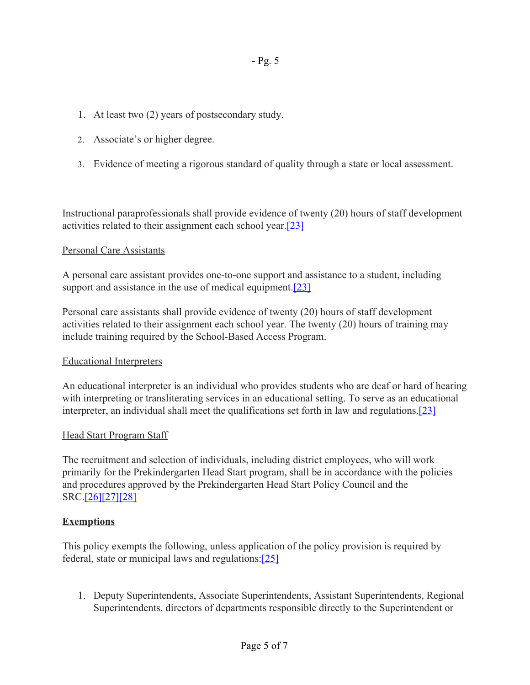- 1. At least two (2) years of postsecondary study.
- 2. Associate's or higher degree.
- 3. Evidence of meeting a rigorous standard of quality through a state or local assessment.

Instructional paraprofessionals shall provide evidence of twenty (20) hours of staff development activities related to their assignment each school year.[\[23\]](http://www.pacode.com/secure/data/022/chapter14/s14.105.html)

#### Personal Care Assistants

A personal care assistant provides one-to-one support and assistance to a student, including support and assistance in the use of medical equipment.<sup>[23]</sup>

Personal care assistants shall provide evidence of twenty (20) hours of staff development activities related to their assignment each school year. The twenty (20) hours of training may include training required by the School-Based Access Program.

# Educational Interpreters

An educational interpreter is an individual who provides students who are deaf or hard of hearing with interpreting or transliterating services in an educational setting. To serve as an educational interpreter, an individual shall meet the qualifications set forth in law and regulations.[\[23\]](http://www.pacode.com/secure/data/022/chapter14/s14.105.html)

# Head Start Program Staff

The recruitment and selection of individuals, including district employees, who will work primarily for the Prekindergarten Head Start program, shall be in accordance with the policies and procedures approved by the Prekindergarten Head Start Policy Council and the SRC.[\[26\]](https://www.law.cornell.edu/uscode/text/42/9837)[\[27\]](https://www.law.cornell.edu/cfr/text/45/1301.31)[\[28\]](https://www.law.cornell.edu/cfr/text/45/1304.50)

# **Exemptions**

This policy exempts the following, unless application of the policy provision is required by federal, state or municipal laws and regulations[:\[25\]](http://library.amlegal.com/nxt/gateway.dll/Pennsylvania/philadelphia_pa/philadelphiahomerulecharter?f=templates$fn=document-frame.htm$3.0)

1. Deputy Superintendents, Associate Superintendents, Assistant Superintendents, Regional Superintendents, directors of departments responsible directly to the Superintendent or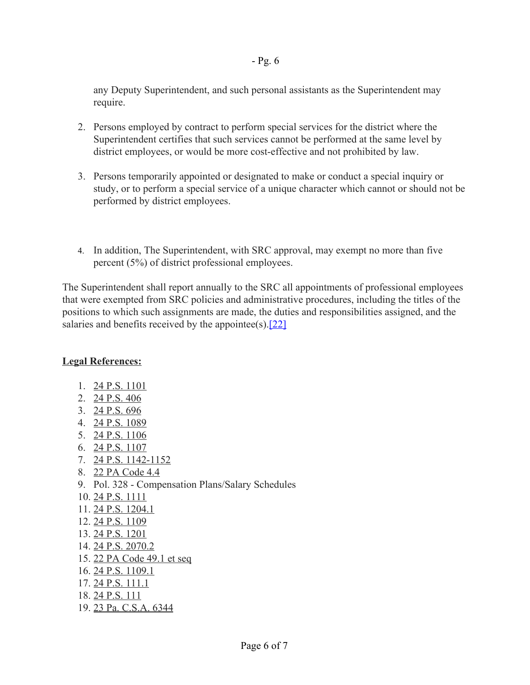any Deputy Superintendent, and such personal assistants as the Superintendent may require.

- 2. Persons employed by contract to perform special services for the district where the Superintendent certifies that such services cannot be performed at the same level by district employees, or would be more cost-effective and not prohibited by law.
- 3. Persons temporarily appointed or designated to make or conduct a special inquiry or study, or to perform a special service of a unique character which cannot or should not be performed by district employees.
- 4. In addition, The Superintendent, with SRC approval, may exempt no more than five percent (5%) of district professional employees.

The Superintendent shall report annually to the SRC all appointments of professional employees that were exempted from SRC policies and administrative procedures, including the titles of the positions to which such assignments are made, the duties and responsibilities assigned, and the salaries and benefits received by the appointee(s). $[22]$ 

# **Legal References:**

- 1. [24 P.S. 1101](http://www.legis.state.pa.us/cfdocs/legis/LI/uconsCheck.cfm?txtType=HTM&yr=1949&sessInd=0&smthLwInd=0&act=14&chpt=11&sctn=1&subsctn=0)
- 2. [24 P.S. 406](http://www.legis.state.pa.us/cfdocs/legis/LI/uconsCheck.cfm?txtType=HTM&yr=1949&sessInd=0&smthLwInd=0&act=14&chpt=4&sctn=6&subsctn=0)
- 3. [24 P.S. 696](http://www.legis.state.pa.us/cfdocs/legis/LI/uconsCheck.cfm?txtType=HTM&yr=1949&sessInd=0&smthLwInd=0&act=14&chpt=6&sctn=96&subsctn=0)
- 4. [24 P.S. 1089](http://www.legis.state.pa.us/cfdocs/legis/LI/uconsCheck.cfm?txtType=HTM&yr=1949&sessInd=0&smthLwInd=0&act=14&chpt=10&sctn=89&subsctn=0)
- 5. [24 P.S. 1106](http://www.legis.state.pa.us/cfdocs/legis/LI/uconsCheck.cfm?txtType=HTM&yr=1949&sessInd=0&smthLwInd=0&act=14&chpt=11&sctn=6&subsctn=0)
- 6. [24 P.S. 1107](http://www.legis.state.pa.us/cfdocs/legis/LI/uconsCheck.cfm?txtType=HTM&yr=1949&sessInd=0&smthLwInd=0&act=14&chpt=11&sctn=7&subsctn=0)
- 7. [24 P.S. 1142-1152](http://www.legis.state.pa.us/cfdocs/legis/LI/uconsCheck.cfm?txtType=HTM&yr=1949&sessInd=0&smthLwInd=0&act=014&chpt=11)
- 8. [22 PA Code 4.4](http://www.pacode.com/secure/data/022/chapter4/s4.4.html)
- 9. Pol. 328 Compensation Plans/Salary Schedules
- 10. [24 P.S. 1111](http://www.legis.state.pa.us/cfdocs/legis/LI/uconsCheck.cfm?txtType=HTM&yr=1949&sessInd=0&smthLwInd=0&act=14&chpt=11&sctn=11&subsctn=0)
- 11. [24 P.S. 1204.1](http://www.legis.state.pa.us/cfdocs/legis/LI/uconsCheck.cfm?txtType=HTM&yr=1949&sessInd=0&smthLwInd=0&act=14&chpt=12&sctn=4&subsctn=1)
- 12. [24 P.S. 1109](http://www.legis.state.pa.us/cfdocs/legis/LI/uconsCheck.cfm?txtType=HTM&yr=1949&sessInd=0&smthLwInd=0&act=14&chpt=11&sctn=9&subsctn=0)
- 13. [24 P.S. 1201](http://www.legis.state.pa.us/cfdocs/legis/LI/uconsCheck.cfm?txtType=HTM&yr=1949&sessInd=0&smthLwInd=0&act=14&chpt=12&sctn=1&subsctn=0)
- 14. [24 P.S. 2070.2](http://www.legis.state.pa.us/cfdocs/legis/LI/uconsCheck.cfm?txtType=HTM&yr=1973&sessInd=0&smthLwInd=0&act=141&chpt=0&sctn=2&subsctn=0)
- 15. [22 PA Code 49.1 et seq](http://www.pacode.com/secure/data/022/chapter49/chap49toc.html)
- 16. [24 P.S. 1109.1](http://www.legis.state.pa.us/cfdocs/legis/LI/uconsCheck.cfm?txtType=HTM&yr=1949&sessInd=0&smthLwInd=0&act=14&chpt=11&sctn=9&subsctn=1)
- 17. [24 P.S. 111.1](http://www.legis.state.pa.us/cfdocs/legis/LI/uconsCheck.cfm?txtType=HTM&yr=1949&sessInd=0&smthLwInd=0&act=14&chpt=1&sctn=11&subsctn=1)
- 18. [24 P.S. 111](http://www.legis.state.pa.us/cfdocs/legis/LI/uconsCheck.cfm?txtType=HTM&yr=1949&sessInd=0&smthLwInd=0&act=14&chpt=1&sctn=11&subsctn=0)
- 19. [23 Pa. C.S.A. 6344](http://www.legis.state.pa.us/cfdocs/legis/LI/consCheck.cfm?txtType=HTM&ttl=23&div=0&chpt=63&sctn=44&subsctn=0)